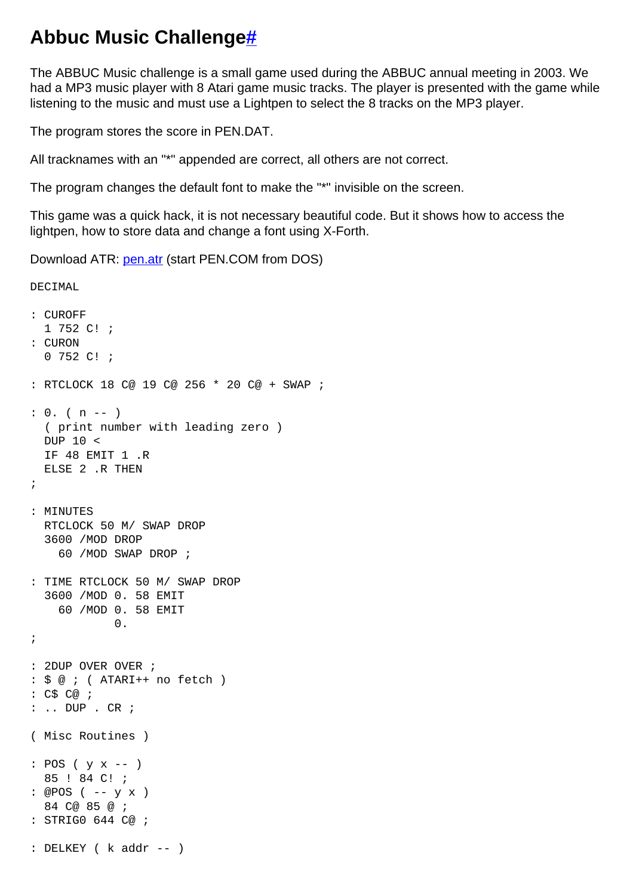## **Abbuc Music Challeng[e#](http://[fd00::119]:8080/wiki/#section-Pen+Music+Challenge-AbbucMusicChallenge)**

The ABBUC Music challenge is a small game used during the ABBUC annual meeting in 2003. We had a MP3 music player with 8 Atari game music tracks. The player is presented with the game while listening to the music and must use a Lightpen to select the 8 tracks on the MP3 player.

The program stores the score in PEN.DAT.

All tracknames with an "\*" appended are correct, all others are not correct.

The program changes the default font to make the "\*" invisible on the screen.

This game was a quick hack, it is not necessary beautiful code. But it shows how to access the lightpen, how to store data and change a font using X-Forth.

Download ATR: [pen.atr](http://[fd00::119]:8080/wiki//wiki/attach/Pen%20Music%20Challenge/pen.atr) (start PEN.COM from DOS)

DECIMAL

```
: CUROFF
  1 752 C! ;
: CURON
  0 752 C! ;
: RTCLOCK 18 C@ 19 C@ 256 * 20 C@ + SWAP ;
: 0. ( n -- )
  ( print number with leading zero )
  DUP 10 <
  IF 48 EMIT 1 .R
  ELSE 2 .R THEN
;
: MINUTES
  RTCLOCK 50 M/ SWAP DROP
   3600 /MOD DROP
     60 /MOD SWAP DROP ;
: TIME RTCLOCK 50 M/ SWAP DROP
   3600 /MOD 0. 58 EMIT
    60 /MOD 0. 58 EMIT
         \overline{0}.
;
: 2DUP OVER OVER ;
: $ @ ; ( ATARI++ no fetch )
: C$ C@ ;
: .. DUP . CR ;
( Misc Routines )
: POS ( y x -- )
  85 ! 84 C! ;
: @POS ( -- y x )
   84 C@ 85 @ ;
: STRIG0 644 C@ ;
: DELKEY ( k addr -- )
```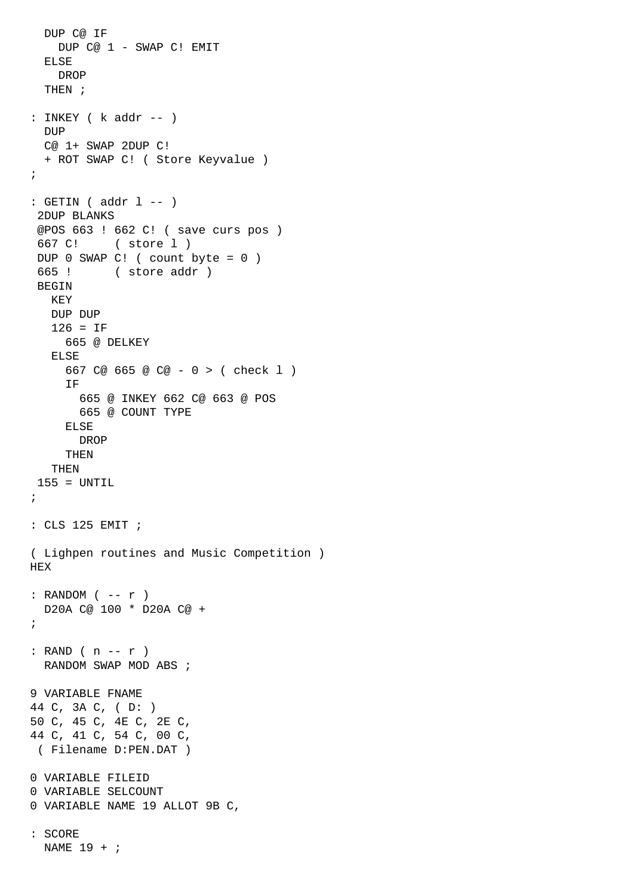```
 DUP C@ IF 
     DUP C@ 1 - SWAP C! EMIT
   ELSE
    DROP
   THEN ;
: INKEY ( k addr -- )
  DUP
   C@ 1+ SWAP 2DUP C!
   + ROT SWAP C! ( Store Keyvalue )
;
: GETIN ( addr 1 -- )
  2DUP BLANKS
  @POS 663 ! 662 C! ( save curs pos )
  667 C! ( store l )
 DUP 0 SWAP C! ( count byte = 0 )
  665 ! ( store addr )
  BEGIN
   KEY
   DUP DUP
    126 = IF
      665 @ DELKEY
    ELSE
      667 C@ 665 @ C@ - 0 > ( check l )
      IF
        665 @ INKEY 662 C@ 663 @ POS 
        665 @ COUNT TYPE
      ELSE
       DROP
      THEN
    THEN
  155 = UNTIL
;
: CLS 125 EMIT ;
( Lighpen routines and Music Competition )
HEX
: RANDOM (- - r) D20A C@ 100 * D20A C@ + 
;
: RAND ( n -- r )
  RANDOM SWAP MOD ABS ;
9 VARIABLE FNAME 
44 C, 3A C, ( D: )
50 C, 45 C, 4E C, 2E C,
44 C, 41 C, 54 C, 00 C,
 ( Filename D:PEN.DAT )
0 VARIABLE FILEID
0 VARIABLE SELCOUNT
0 VARIABLE NAME 19 ALLOT 9B C,
: SCORE
  NAME 19 + ;
```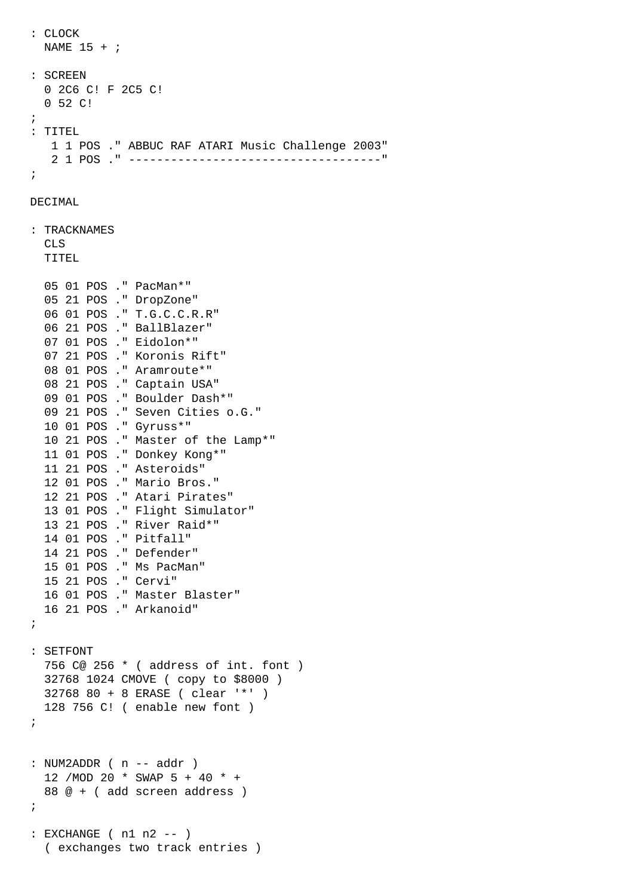```
 NAME 15 + ;
: SCREEN
  0 2C6 C! F 2C5 C! 
   0 52 C!
;
: TITEL
   1 1 POS ." ABBUC RAF ATARI Music Challenge 2003"
    2 1 POS ." ------------------------------------"
;
```

```
DECIMAL
```
: CLOCK

```
: TRACKNAMES
  CLS
  TITEL
  05 01 POS ." PacMan*"
  05 21 POS ." DropZone"
   06 01 POS ." T.G.C.C.R.R"
   06 21 POS ." BallBlazer"
   07 01 POS ." Eidolon*"
   07 21 POS ." Koronis Rift"
   08 01 POS ." Aramroute*"
   08 21 POS ." Captain USA"
  09 01 POS ." Boulder Dash*"
   09 21 POS ." Seven Cities o.G."
  10 01 POS ." Gyruss*"
  10 21 POS ." Master of the Lamp*"
  11 01 POS ." Donkey Kong*"
  11 21 POS ." Asteroids"
  12 01 POS ." Mario Bros."
  12 21 POS ." Atari Pirates"
  13 01 POS ." Flight Simulator"
  13 21 POS ." River Raid*"
  14 01 POS ." Pitfall"
  14 21 POS ." Defender"
  15 01 POS ." Ms PacMan"
  15 21 POS ." Cervi"
  16 01 POS ." Master Blaster"
   16 21 POS ." Arkanoid"
;
: SETFONT
  756 C@ 256 * ( address of int. font )
  32768 1024 CMOVE ( copy to $8000 )
  32768 80 + 8 ERASE ( clear '*' )
  128 756 C! ( enable new font )
;
: NUM2ADDR (n -- addr) 12 /MOD 20 * SWAP 5 + 40 * + 
  88 @ + ( add screen address )
;
: EXCHANGE ( n1 n2 -- )
   ( exchanges two track entries )
```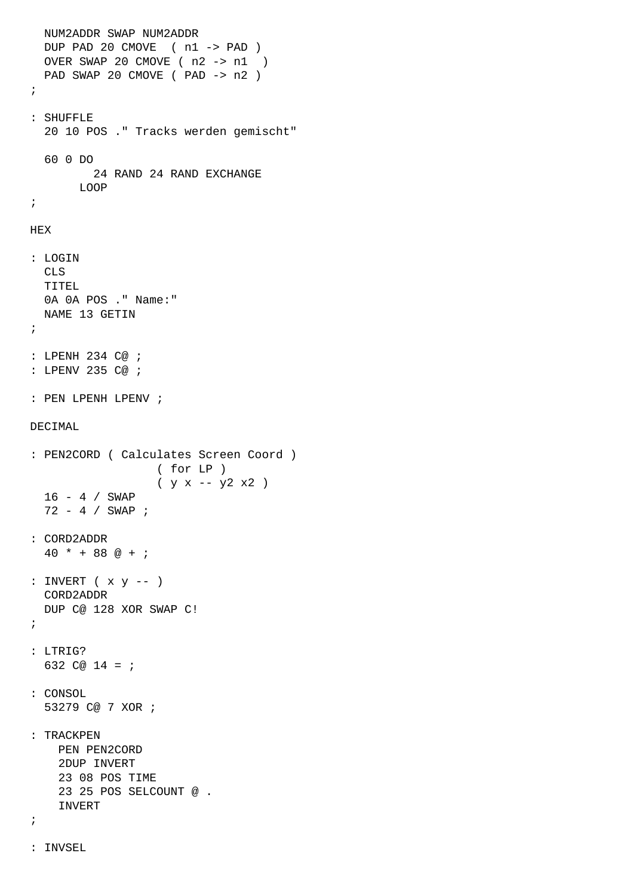```
 NUM2ADDR SWAP NUM2ADDR
   DUP PAD 20 CMOVE ( n1 -> PAD )
   OVER SWAP 20 CMOVE ( n2 -> n1 )
   PAD SWAP 20 CMOVE ( PAD -> n2 )
;
: SHUFFLE
   20 10 POS ." Tracks werden gemischt"
  60 0 DO
           24 RAND 24 RAND EXCHANGE
       LOOP
;
HEX
: LOGIN
  CLS
  TITEL
  0A 0A POS ." Name:"
  NAME 13 GETIN
;
: LPENH 234 C@ ;
: LPENV 235 C@ ;
: PEN LPENH LPENV ;
DECIMAL
: PEN2CORD ( Calculates Screen Coord )
                     ( for LP )
                    (y x - y2 x2) 16 - 4 / SWAP
   72 - 4 / SWAP ;
: CORD2ADDR
  40 * + 88 @ + ;
: INVERT ( x y -- )
  CORD2ADDR
  DUP C@ 128 XOR SWAP C!
;
: LTRIG?
 632 \text{ } \text{C} \text{ } \text{ } \text{ } 24 = i: CONSOL
   53279 C@ 7 XOR ;
: TRACKPEN
    PEN PEN2CORD
     2DUP INVERT 
     23 08 POS TIME
     23 25 POS SELCOUNT @ .
     INVERT
;
```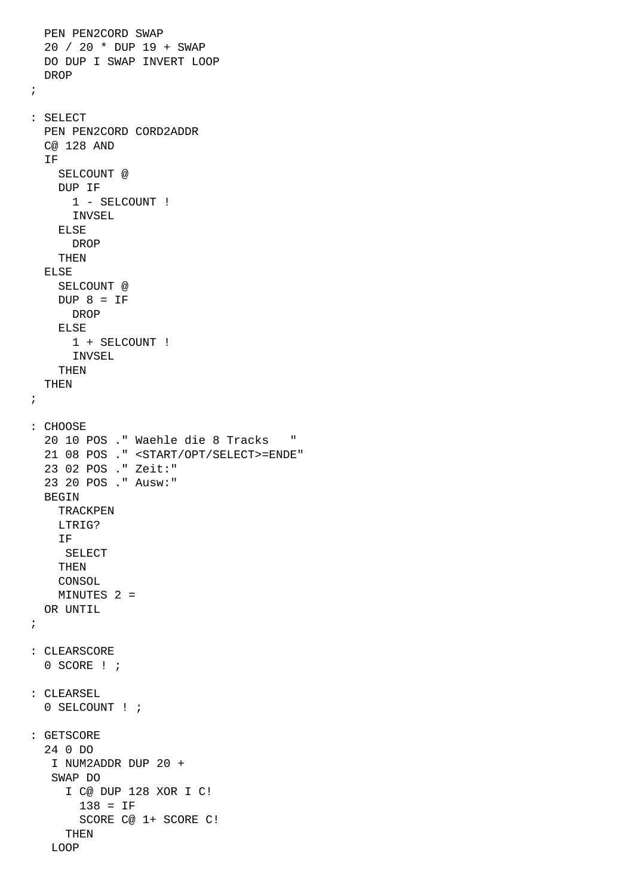```
 PEN PEN2CORD SWAP
   20 / 20 * DUP 19 + SWAP
  DO DUP I SWAP INVERT LOOP
  DROP
;
: SELECT
  PEN PEN2CORD CORD2ADDR
  C@ 128 AND
  IF
     SELCOUNT @
     DUP IF 
       1 - SELCOUNT !
       INVSEL
     ELSE
       DROP
     THEN
  ELSE
     SELCOUNT @
    DUP 8 = IF DROP
     ELSE
      1 + SELCOUNT !
      INVSEL
     THEN
  THEN
;
: CHOOSE
   20 10 POS ." Waehle die 8 Tracks "
   21 08 POS ." <START/OPT/SELECT>=ENDE"
   23 02 POS ." Zeit:"
   23 20 POS ." Ausw:"
 BEGIN
    TRACKPEN
    LTRIG? 
     IF 
     SELECT 
     THEN
    CONSOL
    MINUTES 2 =
  OR UNTIL
;
: CLEARSCORE
  0 SCORE ! ;
: CLEARSEL
  0 SELCOUNT ! ;
: GETSCORE
   24 0 DO
    I NUM2ADDR DUP 20 +
    SWAP DO
      I C@ DUP 128 XOR I C! 
        138 = IF
        SCORE C@ 1+ SCORE C!
      THEN
    LOOP
```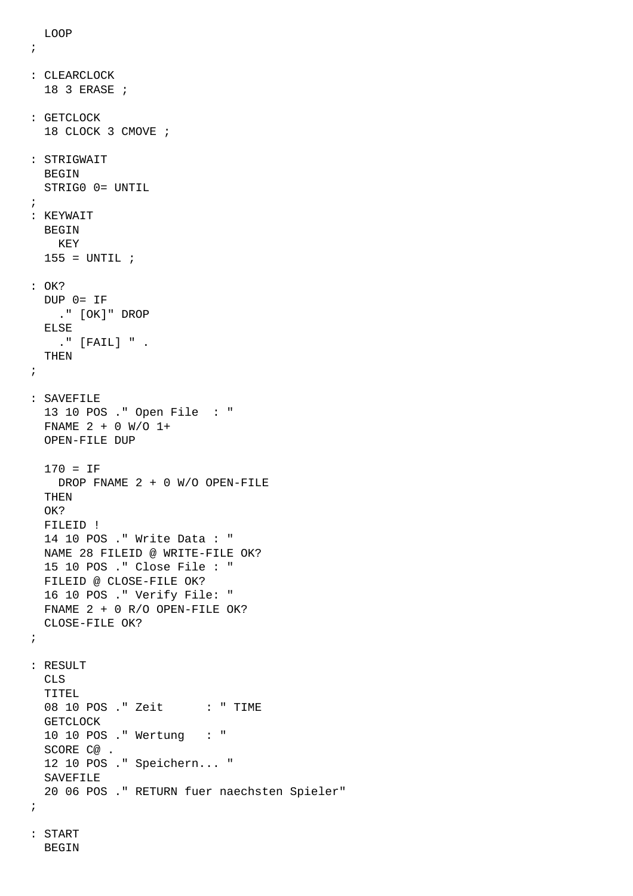```
 LOOP
```

```
;
: CLEARCLOCK
  18 3 ERASE ;
: GETCLOCK
  18 CLOCK 3 CMOVE ;
: STRIGWAIT
 BEGIN
  STRIG0 0= UNTIL
;
: KEYWAIT
  BEGIN 
    KEY
 155 = UNTIL ;
: OK?
  DUP 0= IF 
    ." [OK]" DROP
  ELSE 
    ." [FAIL] " . 
  THEN
;
: SAVEFILE
  13 10 POS ." Open File : "
  FNAME 2 + 0 W/O 1+
  OPEN-FILE DUP
  170 = IF
    DROP FNAME 2 + 0 W/O OPEN-FILE
  THEN
  OK?
  FILEID !
  14 10 POS ." Write Data : "
  NAME 28 FILEID @ WRITE-FILE OK?
  15 10 POS ." Close File : "
  FILEID @ CLOSE-FILE OK?
  16 10 POS ." Verify File: "
  FNAME 2 + 0 R/O OPEN-FILE OK?
  CLOSE-FILE OK?
;
: RESULT
  CLS
  TITEL
 08 10 POS ." Zeit : " TIME
  GETCLOCK
  10 10 POS ." Wertung : "
  SCORE C@ .
  12 10 POS ." Speichern... "
  SAVEFILE 
  20 06 POS ." RETURN fuer naechsten Spieler"
;
: START
  BEGIN
```